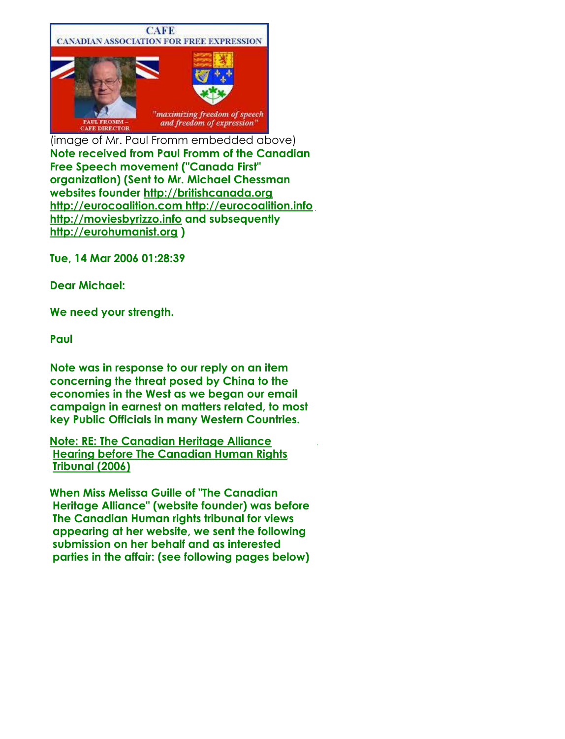

(image of Mr. Paul Fromm embedded above) **Note received from Paul Fromm of the Canadian Free Speech movement ("Canada First" organization) (Sent to Mr. Michael Chessman websites founder http://britishcanada.org http://eurocoalition.com http://eurocoalition.info http://moviesbyrizzo.info and subsequently http://eurohumanist.org )**

**Tue, 14 Mar 2006 01:28:39**

**Dear Michael:**

**We need your strength.**

**Paul**

**Note was in response to our reply on an item concerning the threat posed by China to the economies in the West as we began our email campaign in earnest on matters related, to most key Public Officials in many Western Countries.**

**Note: RE: The Canadian Heritage Alliance Hearing before The Canadian Human Rights Tribunal (2006)**

**When Miss Melissa Guille of "The Canadian Heritage Alliance" (website founder) was before The Canadian Human rights tribunal for views appearing at her website, we sent the following submission on her behalf and as interested parties in the affair: (see following pages below)**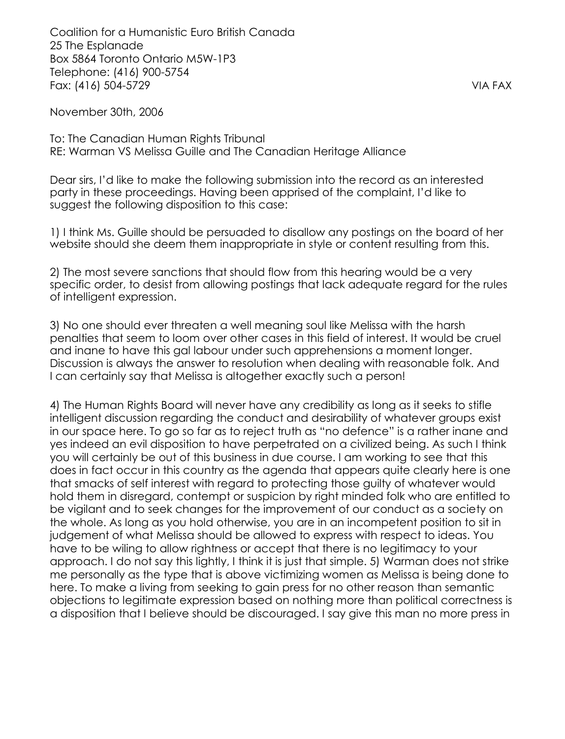Coalition for a Humanistic Euro British Canada 25 The Esplanade Box 5864 Toronto Ontario M5W-1P3 Telephone: (416) 900-5754 Fax: (416) 504-5729 VIA FAX

November 30th, 2006

To: The Canadian Human Rights Tribunal RE: Warman VS Melissa Guille and The Canadian Heritage Alliance

Dear sirs, I'd like to make the following submission into the record as an interested party in these proceedings. Having been apprised of the complaint, I'd like to suggest the following disposition to this case:

1) I think Ms. Guille should be persuaded to disallow any postings on the board of her website should she deem them inappropriate in style or content resulting from this.

2) The most severe sanctions that should flow from this hearing would be a very specific order, to desist from allowing postings that lack adequate regard for the rules of intelligent expression.

3) No one should ever threaten a well meaning soul like Melissa with the harsh penalties that seem to loom over other cases in this field of interest. It would be cruel and inane to have this gal labour under such apprehensions a moment longer. Discussion is always the answer to resolution when dealing with reasonable folk. And I can certainly say that Melissa is altogether exactly such a person!

4) The Human Rights Board will never have any credibility as long as it seeks to stifle intelligent discussion regarding the conduct and desirability of whatever groups exist in our space here. To go so far as to reject truth as "no defence" is a rather inane and yes indeed an evil disposition to have perpetrated on a civilized being. As such I think you will certainly be out of this business in due course. I am working to see that this does in fact occur in this country as the agenda that appears quite clearly here is one that smacks of self interest with regard to protecting those guilty of whatever would hold them in disregard, contempt or suspicion by right minded folk who are entitled to be vigilant and to seek changes for the improvement of our conduct as a society on the whole. As long as you hold otherwise, you are in an incompetent position to sit in judgement of what Melissa should be allowed to express with respect to ideas. You have to be wiling to allow rightness or accept that there is no legitimacy to your approach. I do not say this lightly, I think it is just that simple. 5) Warman does not strike me personally as the type that is above victimizing women as Melissa is being done to here. To make a living from seeking to gain press for no other reason than semantic objections to legitimate expression based on nothing more than political correctness is a disposition that I believe should be discouraged. I say give this man no more press in